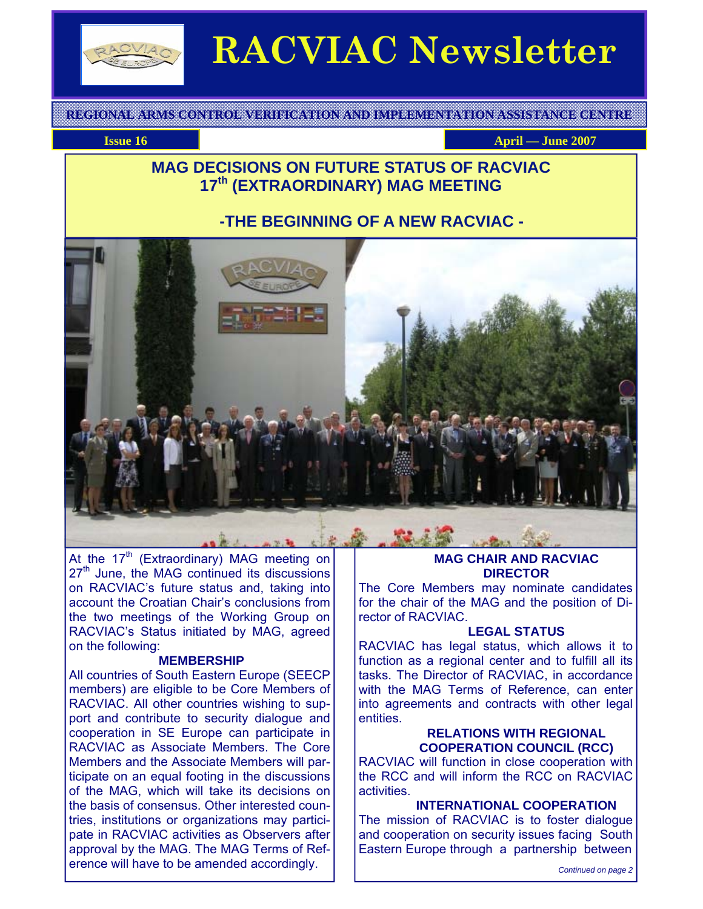

# **RACVIAC Newsletter**

**REGIONAL ARMS CONTROL VERIFICATION AND IMPLEMENTATION ASSISTANCE CENTRE** 

**Issue 16 April — June 2007 April — June 2007** 

## **MAG DECISIONS ON FUTURE STATUS OF RACVIAC 17th (EXTRAORDINARY) MAG MEETING**

## **-THE BEGINNING OF A NEW RACVIAC -**



At the 17<sup>th</sup> (Extraordinary) MAG meeting on 27<sup>th</sup> June, the MAG continued its discussions on RACVIAC's future status and, taking into account the Croatian Chair's conclusions from the two meetings of the Working Group on RACVIAC's Status initiated by MAG, agreed on the following:

#### **MEMBERSHIP**

All countries of South Eastern Europe (SEECP members) are eligible to be Core Members of RACVIAC. All other countries wishing to support and contribute to security dialogue and cooperation in SE Europe can participate in RACVIAC as Associate Members. The Core Members and the Associate Members will participate on an equal footing in the discussions of the MAG, which will take its decisions on the basis of consensus. Other interested countries, institutions or organizations may participate in RACVIAC activities as Observers after approval by the MAG. The MAG Terms of Reference will have to be amended accordingly.

#### **MAG CHAIR AND RACVIAC DIRECTOR**

The Core Members may nominate candidates for the chair of the MAG and the position of Director of RACVIAC.

#### **LEGAL STATUS**

RACVIAC has legal status, which allows it to function as a regional center and to fulfill all its tasks. The Director of RACVIAC, in accordance with the MAG Terms of Reference, can enter into agreements and contracts with other legal entities.

#### **RELATIONS WITH REGIONAL COOPERATION COUNCIL (RCC)**

RACVIAC will function in close cooperation with the RCC and will inform the RCC on RACVIAC activities.

#### **INTERNATIONAL COOPERATION**

The mission of RACVIAC is to foster dialogue and cooperation on security issues facing South Eastern Europe through a partnership between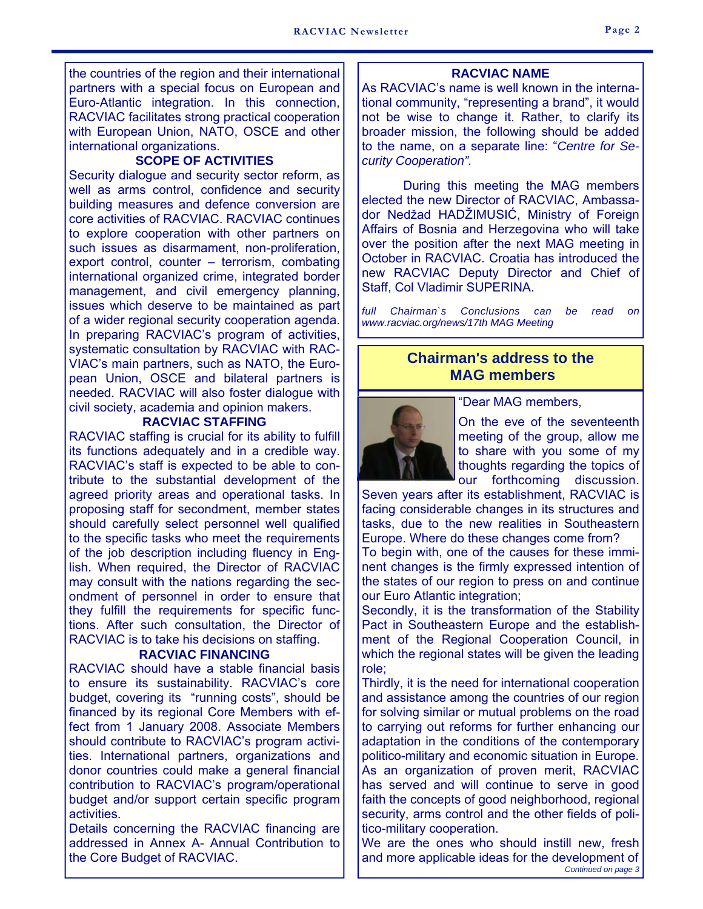the countries of the region and their international partners with a special focus on European and Euro-Atlantic integration. In this connection, RACVIAC facilitates strong practical cooperation with European Union, NATO, OSCE and other international organizations.

#### **SCOPE OF ACTIVITIES**

Security dialogue and security sector reform, as well as arms control, confidence and security building measures and defence conversion are core activities of RACVIAC. RACVIAC continues to explore cooperation with other partners on such issues as disarmament, non-proliferation, export control, counter – terrorism, combating international organized crime, integrated border management, and civil emergency planning, issues which deserve to be maintained as part of a wider regional security cooperation agenda. In preparing RACVIAC's program of activities, systematic consultation by RACVIAC with RAC-VIAC's main partners, such as NATO, the European Union, OSCE and bilateral partners is needed. RACVIAC will also foster dialogue with civil society, academia and opinion makers.

#### **RACVIAC STAFFING**

RACVIAC staffing is crucial for its ability to fulfill its functions adequately and in a credible way. RACVIAC's staff is expected to be able to contribute to the substantial development of the agreed priority areas and operational tasks. In proposing staff for secondment, member states should carefully select personnel well qualified to the specific tasks who meet the requirements of the job description including fluency in English. When required, the Director of RACVIAC may consult with the nations regarding the secondment of personnel in order to ensure that they fulfill the requirements for specific functions. After such consultation, the Director of RACVIAC is to take his decisions on staffing.

#### **RACVIAC FINANCING**

RACVIAC should have a stable financial basis to ensure its sustainability. RACVIAC's core budget, covering its "running costs", should be financed by its regional Core Members with effect from 1 January 2008. Associate Members should contribute to RACVIAC's program activities. International partners, organizations and donor countries could make a general financial contribution to RACVIAC's program/operational budget and/or support certain specific program activities.

Details concerning the RACVIAC financing are addressed in Annex A- Annual Contribution to the Core Budget of RACVIAC.

#### **RACVIAC NAME**

As RACVIAC's name is well known in the international community, "representing a brand", it would not be wise to change it. Rather, to clarify its broader mission, the following should be added to the name, on a separate line: "*Centre for Security Cooperation".* 

 During this meeting the MAG members elected the new Director of RACVIAC, Ambassador Nedžad HADŽIMUSIĆ, Ministry of Foreign Affairs of Bosnia and Herzegovina who will take over the position after the next MAG meeting in October in RACVIAC. Croatia has introduced the new RACVIAC Deputy Director and Chief of Staff, Col Vladimir SUPERINA.

*full Chairman`s Conclusions can be read on www.racviac.org/news/17th MAG Meeting*

## **Chairman's address to the MAG members**



"Dear MAG members,

On the eve of the seventeenth meeting of the group, allow me to share with you some of my thoughts regarding the topics of our forthcoming discussion.

Seven years after its establishment, RACVIAC is facing considerable changes in its structures and tasks, due to the new realities in Southeastern Europe. Where do these changes come from?

To begin with, one of the causes for these imminent changes is the firmly expressed intention of the states of our region to press on and continue our Euro Atlantic integration;

Secondly, it is the transformation of the Stability Pact in Southeastern Europe and the establishment of the Regional Cooperation Council, in which the regional states will be given the leading role;

Thirdly, it is the need for international cooperation and assistance among the countries of our region for solving similar or mutual problems on the road to carrying out reforms for further enhancing our adaptation in the conditions of the contemporary politico-military and economic situation in Europe. As an organization of proven merit, RACVIAC has served and will continue to serve in good faith the concepts of good neighborhood, regional security, arms control and the other fields of politico-military cooperation.

We are the ones who should instill new, fresh and more applicable ideas for the development of *Continued on page 3*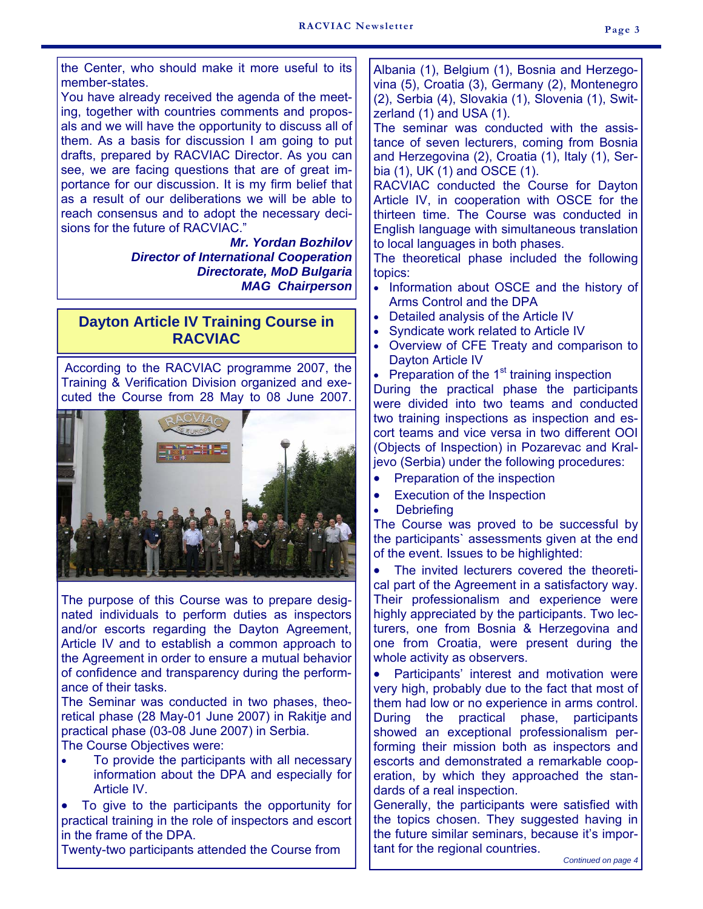the Center, who should make it more useful to its member-states.

You have already received the agenda of the meeting, together with countries comments and proposals and we will have the opportunity to discuss all of them. As a basis for discussion I am going to put drafts, prepared by RACVIAC Director. As you can see, we are facing questions that are of great importance for our discussion. It is my firm belief that as a result of our deliberations we will be able to reach consensus and to adopt the necessary decisions for the future of RACVIAC."

> *Mr. Yordan Bozhilov Director of International Cooperation Directorate, MoD Bulgaria MAG Chairperson*

## **Dayton Article IV Training Course in RACVIAC**

According to the RACVIAC programme 2007, the Training & Verification Division organized and executed the Course from 28 May to 08 June 2007.



The purpose of this Course was to prepare designated individuals to perform duties as inspectors and/or escorts regarding the Dayton Agreement, Article IV and to establish a common approach to the Agreement in order to ensure a mutual behavior of confidence and transparency during the performance of their tasks.

The Seminar was conducted in two phases, theoretical phase (28 May-01 June 2007) in Rakitje and practical phase (03-08 June 2007) in Serbia.

The Course Objectives were:

• To provide the participants with all necessary information about the DPA and especially for Article IV.

• To give to the participants the opportunity for practical training in the role of inspectors and escort in the frame of the DPA.

Twenty-two participants attended the Course from

Albania (1), Belgium (1), Bosnia and Herzegovina (5), Croatia (3), Germany (2), Montenegro (2), Serbia (4), Slovakia (1), Slovenia (1), Switzerland (1) and USA (1).

The seminar was conducted with the assistance of seven lecturers, coming from Bosnia and Herzegovina (2), Croatia (1), Italy (1), Serbia (1), UK (1) and OSCE (1).

RACVIAC conducted the Course for Dayton Article IV, in cooperation with OSCE for the thirteen time. The Course was conducted in English language with simultaneous translation to local languages in both phases.

The theoretical phase included the following topics:

- Information about OSCE and the history of Arms Control and the DPA
- Detailed analysis of the Article IV
- Syndicate work related to Article IV
- Overview of CFE Treaty and comparison to Dayton Article IV
- Preparation of the  $1<sup>st</sup>$  training inspection

During the practical phase the participants were divided into two teams and conducted two training inspections as inspection and escort teams and vice versa in two different OOI (Objects of Inspection) in Pozarevac and Kraljevo (Serbia) under the following procedures:

- Preparation of the inspection
- Execution of the Inspection
- **Debriefing**

The Course was proved to be successful by the participants` assessments given at the end of the event. Issues to be highlighted:

The invited lecturers covered the theoretical part of the Agreement in a satisfactory way. Their professionalism and experience were highly appreciated by the participants. Two lecturers, one from Bosnia & Herzegovina and one from Croatia, were present during the whole activity as observers.

Participants' interest and motivation were very high, probably due to the fact that most of them had low or no experience in arms control. During the practical phase, participants showed an exceptional professionalism performing their mission both as inspectors and escorts and demonstrated a remarkable cooperation, by which they approached the standards of a real inspection.

Generally, the participants were satisfied with the topics chosen. They suggested having in the future similar seminars, because it's important for the regional countries.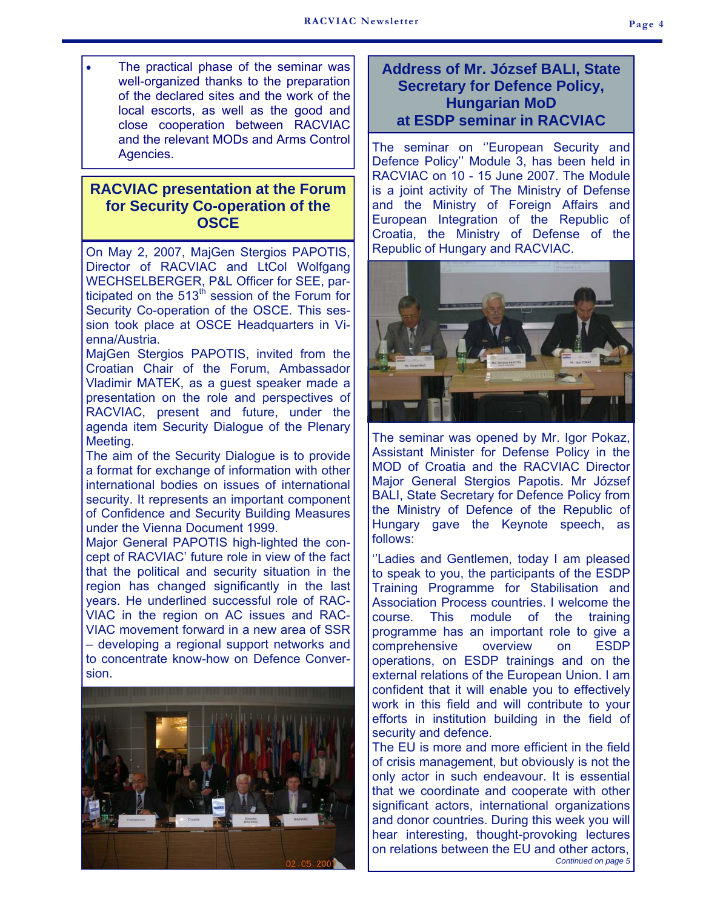The practical phase of the seminar was well-organized thanks to the preparation of the declared sites and the work of the local escorts, as well as the good and close cooperation between RACVIAC and the relevant MODs and Arms Control Agencies.

## **RACVIAC presentation at the Forum for Security Co-operation of the OSCE**

On May 2, 2007, MajGen Stergios PAPOTIS, Director of RACVIAC and LtCol Wolfgang WECHSELBERGER, P&L Officer for SEE, participated on the  $513<sup>th</sup>$  session of the Forum for Security Co-operation of the OSCE. This session took place at OSCE Headquarters in Vienna/Austria.

MajGen Stergios PAPOTIS, invited from the Croatian Chair of the Forum, Ambassador Vladimir MATEK, as a guest speaker made a presentation on the role and perspectives of RACVIAC, present and future, under the agenda item Security Dialogue of the Plenary Meeting.

The aim of the Security Dialogue is to provide a format for exchange of information with other international bodies on issues of international security. It represents an important component of Confidence and Security Building Measures under the Vienna Document 1999.

Major General PAPOTIS high-lighted the concept of RACVIAC' future role in view of the fact that the political and security situation in the region has changed significantly in the last years. He underlined successful role of RAC-VIAC in the region on AC issues and RAC-VIAC movement forward in a new area of SSR – developing a regional support networks and to concentrate know-how on Defence Conversion.



#### **Address of Mr. József BALI, State Secretary for Defence Policy, Hungarian MoD at ESDP seminar in RACVIAC**

The seminar on "European Security and Defence Policy'' Module 3, has been held in RACVIAC on 10 - 15 June 2007. The Module is a joint activity of The Ministry of Defense and the Ministry of Foreign Affairs and European Integration of the Republic of Croatia, the Ministry of Defense of the Republic of Hungary and RACVIAC.



The seminar was opened by Mr. Igor Pokaz, Assistant Minister for Defense Policy in the MOD of Croatia and the RACVIAC Director Major General Stergios Papotis. Mr József BALI, State Secretary for Defence Policy from the Ministry of Defence of the Republic of Hungary gave the Keynote speech, as follows:

"Ladies and Gentlemen, today I am pleased to speak to you, the participants of the ESDP Training Programme for Stabilisation and Association Process countries. I welcome the course. This module of the training programme has an important role to give a comprehensive overview on ESDP operations, on ESDP trainings and on the external relations of the European Union. I am confident that it will enable you to effectively work in this field and will contribute to your efforts in institution building in the field of security and defence.

The EU is more and more efficient in the field of crisis management, but obviously is not the only actor in such endeavour. It is essential that we coordinate and cooperate with other significant actors, international organizations and donor countries. During this week you will hear interesting, thought-provoking lectures on relations between the EU and other actors, *Continued on page 5*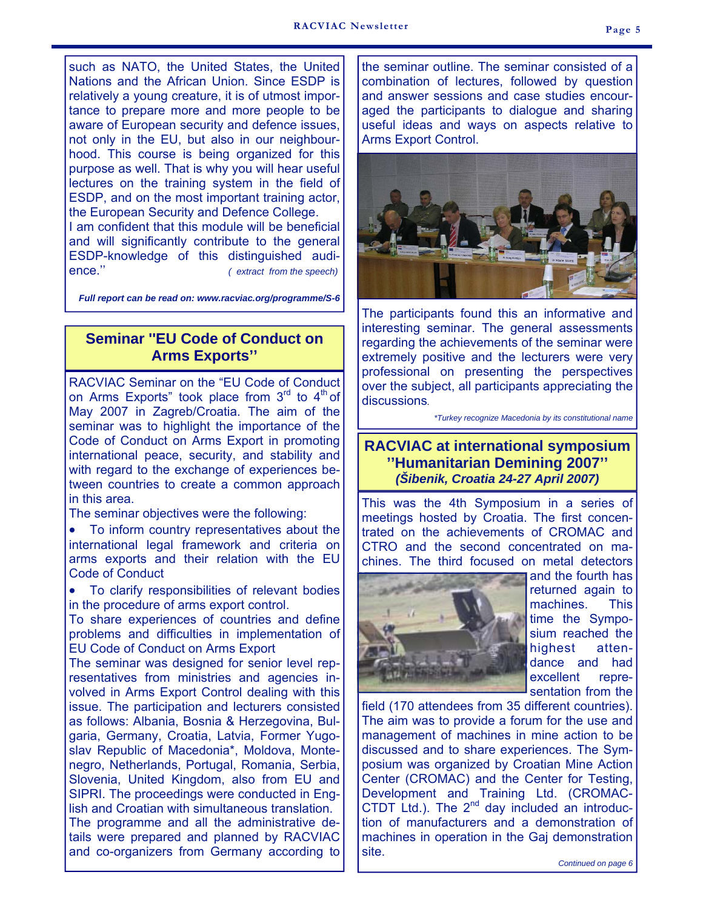such as NATO, the United States, the United Nations and the African Union. Since ESDP is relatively a young creature, it is of utmost importance to prepare more and more people to be aware of European security and defence issues, not only in the EU, but also in our neighbourhood. This course is being organized for this purpose as well. That is why you will hear useful lectures on the training system in the field of ESDP, and on the most important training actor, the European Security and Defence College. I am confident that this module will be beneficial

and will significantly contribute to the general ESDP-knowledge of this distinguished audience.'' *( extract from the speech)* 

*Full report can be read on: www.racviac.org/programme/S-6*

## **Seminar ''EU Code of Conduct on Arms Exports''**

RACVIAC Seminar on the "EU Code of Conduct on Arms Exports" took place from  $3<sup>rd</sup>$  to  $4<sup>th</sup>$  of May 2007 in Zagreb/Croatia. The aim of the seminar was to highlight the importance of the Code of Conduct on Arms Export in promoting international peace, security, and stability and with regard to the exchange of experiences between countries to create a common approach in this area.

The seminar objectives were the following:

• To inform country representatives about the international legal framework and criteria on arms exports and their relation with the EU Code of Conduct

• To clarify responsibilities of relevant bodies in the procedure of arms export control.

To share experiences of countries and define problems and difficulties in implementation of EU Code of Conduct on Arms Export

The seminar was designed for senior level representatives from ministries and agencies involved in Arms Export Control dealing with this issue. The participation and lecturers consisted as follows: Albania, Bosnia & Herzegovina, Bulgaria, Germany, Croatia, Latvia, Former Yugoslav Republic of Macedonia\*, Moldova, Montenegro, Netherlands, Portugal, Romania, Serbia, Slovenia, United Kingdom, also from EU and SIPRI. The proceedings were conducted in English and Croatian with simultaneous translation. The programme and all the administrative de-

tails were prepared and planned by RACVIAC and co-organizers from Germany according to the seminar outline. The seminar consisted of a combination of lectures, followed by question and answer sessions and case studies encouraged the participants to dialogue and sharing useful ideas and ways on aspects relative to Arms Export Control.



The participants found this an informative and interesting seminar. The general assessments regarding the achievements of the seminar were extremely positive and the lecturers were very professional on presenting the perspectives over the subject, all participants appreciating the discussions*.* 

*\*Turkey recognize Macedonia by its constitutional name* 

#### **RACVIAC at international symposium ''Humanitarian Demining 2007''**  *(Šibenik, Croatia 24-27 April 2007)*

This was the 4th Symposium in a series of meetings hosted by Croatia. The first concentrated on the achievements of CROMAC and CTRO and the second concentrated on machines. The third focused on metal detectors



and the fourth has returned again to machines. This time the Symposium reached the highest attendance and had excellent representation from the

field (170 attendees from 35 different countries). The aim was to provide a forum for the use and management of machines in mine action to be discussed and to share experiences. The Symposium was organized by Croatian Mine Action Center (CROMAC) and the Center for Testing, Development and Training Ltd. (CROMAC-CTDT Ltd.). The  $2^{nd}$  day included an introduction of manufacturers and a demonstration of machines in operation in the Gaj demonstration site.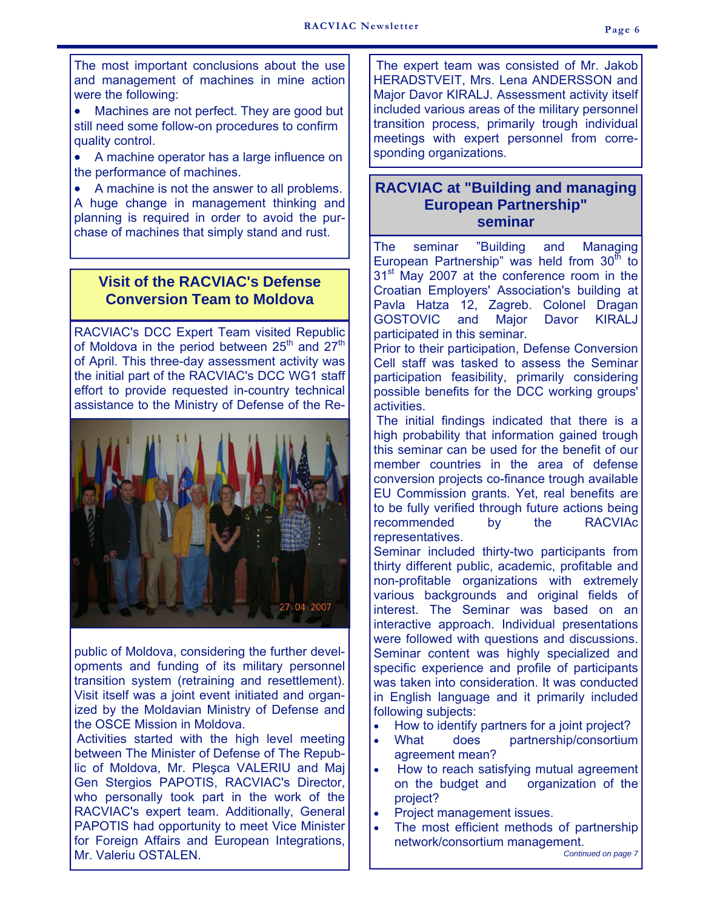The most important conclusions about the use and management of machines in mine action were the following:

Machines are not perfect. They are good but still need some follow-on procedures to confirm quality control.

• A machine operator has a large influence on the performance of machines.

• A machine is not the answer to all problems. A huge change in management thinking and planning is required in order to avoid the purchase of machines that simply stand and rust.

## **Visit of the RACVIAC's Defense Conversion Team to Moldova**

RACVIAC's DCC Expert Team visited Republic of Moldova in the period between 25<sup>th</sup> and 27<sup>th</sup> of April. This three-day assessment activity was the initial part of the RACVIAC's DCC WG1 staff effort to provide requested in-country technical assistance to the Ministry of Defense of the Re-



public of Moldova, considering the further developments and funding of its military personnel transition system (retraining and resettlement). Visit itself was a joint event initiated and organized by the Moldavian Ministry of Defense and the OSCE Mission in Moldova.

Activities started with the high level meeting between The Minister of Defense of The Republic of Moldova, Mr. Pleşca VALERIU and Maj Gen Stergios PAPOTIS, RACVIAC's Director, who personally took part in the work of the RACVIAC's expert team. Additionally, General PAPOTIS had opportunity to meet Vice Minister for Foreign Affairs and European Integrations, Mr. Valeriu OSTALEN.

The expert team was consisted of Mr. Jakob HERADSTVEIT, Mrs. Lena ANDERSSON and Major Davor KIRALJ. Assessment activity itself included various areas of the military personnel transition process, primarily trough individual meetings with expert personnel from corresponding organizations.

## **RACVIAC at "Building and managing European Partnership" seminar**

The seminar "Building and Managing European Partnership" was held from  $30<sup>th</sup>$  to 31<sup>st</sup> May 2007 at the conference room in the Croatian Employers' Association's building at Pavla Hatza 12, Zagreb. Colonel Dragan GOSTOVIC and Major Davor KIRALJ participated in this seminar.

Prior to their participation, Defense Conversion Cell staff was tasked to assess the Seminar participation feasibility, primarily considering possible benefits for the DCC working groups' activities.

The initial findings indicated that there is a high probability that information gained trough this seminar can be used for the benefit of our member countries in the area of defense conversion projects co-finance trough available EU Commission grants. Yet, real benefits are to be fully verified through future actions being recommended by the RACVIAc representatives.

Seminar included thirty-two participants from thirty different public, academic, profitable and non-profitable organizations with extremely various backgrounds and original fields of interest. The Seminar was based on an interactive approach. Individual presentations were followed with questions and discussions. Seminar content was highly specialized and specific experience and profile of participants was taken into consideration. It was conducted in English language and it primarily included following subjects:

- How to identify partners for a joint project?
- What does partnership/consortium agreement mean?
- How to reach satisfying mutual agreement on the budget and organization of the project?
- Project management issues.
- The most efficient methods of partnership network/consortium management.

*Continued on page 7*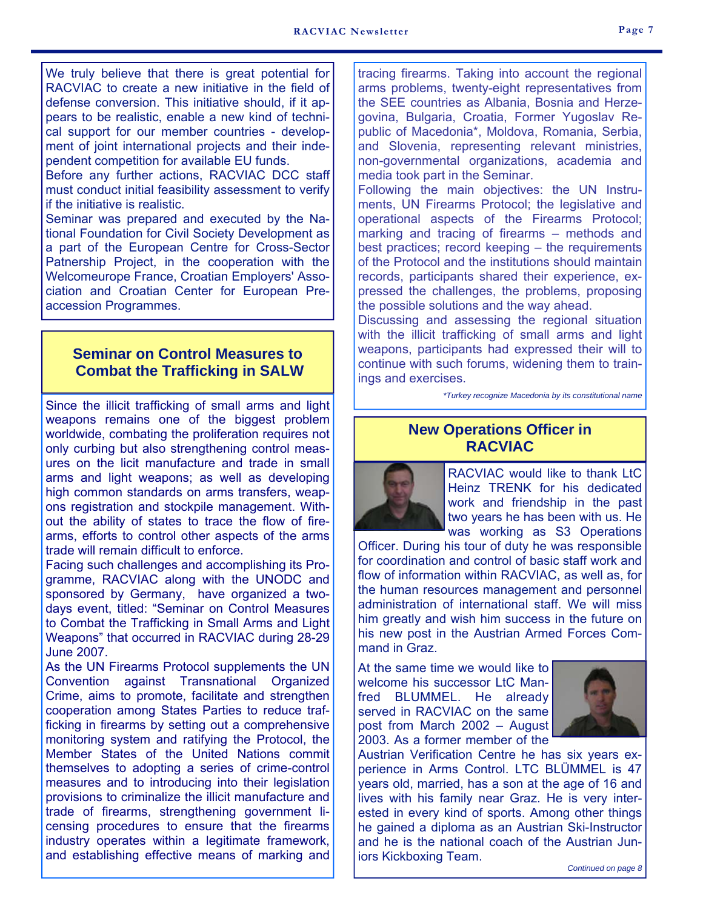We truly believe that there is great potential for RACVIAC to create a new initiative in the field of defense conversion. This initiative should, if it appears to be realistic, enable a new kind of technical support for our member countries - development of joint international projects and their independent competition for available EU funds.

Before any further actions, RACVIAC DCC staff must conduct initial feasibility assessment to verify if the initiative is realistic.

Seminar was prepared and executed by the National Foundation for Civil Society Development as a part of the European Centre for Cross-Sector Patnership Project, in the cooperation with the Welcomeurope France, Croatian Employers' Association and Croatian Center for European Preaccession Programmes.

## **Seminar on Control Measures to Combat the Trafficking in SALW**

Since the illicit trafficking of small arms and light weapons remains one of the biggest problem worldwide, combating the proliferation requires not only curbing but also strengthening control measures on the licit manufacture and trade in small arms and light weapons; as well as developing high common standards on arms transfers, weapons registration and stockpile management. Without the ability of states to trace the flow of firearms, efforts to control other aspects of the arms trade will remain difficult to enforce.

Facing such challenges and accomplishing its Programme, RACVIAC along with the UNODC and sponsored by Germany, have organized a twodays event, titled: "Seminar on Control Measures to Combat the Trafficking in Small Arms and Light Weapons" that occurred in RACVIAC during 28-29 June 2007.

As the UN Firearms Protocol supplements the UN Convention against Transnational Organized Crime, aims to promote, facilitate and strengthen cooperation among States Parties to reduce trafficking in firearms by setting out a comprehensive monitoring system and ratifying the Protocol, the Member States of the United Nations commit themselves to adopting a series of crime-control measures and to introducing into their legislation provisions to criminalize the illicit manufacture and trade of firearms, strengthening government licensing procedures to ensure that the firearms industry operates within a legitimate framework, and establishing effective means of marking and

tracing firearms. Taking into account the regional arms problems, twenty-eight representatives from the SEE countries as Albania, Bosnia and Herzegovina, Bulgaria, Croatia, Former Yugoslav Republic of Macedonia\*, Moldova, Romania, Serbia, and Slovenia, representing relevant ministries, non-governmental organizations, academia and media took part in the Seminar.

Following the main objectives: the UN Instruments, UN Firearms Protocol; the legislative and operational aspects of the Firearms Protocol; marking and tracing of firearms – methods and best practices; record keeping – the requirements of the Protocol and the institutions should maintain records, participants shared their experience, expressed the challenges, the problems, proposing the possible solutions and the way ahead.

Discussing and assessing the regional situation with the illicit trafficking of small arms and light weapons, participants had expressed their will to continue with such forums, widening them to trainings and exercises.

*\*Turkey recognize Macedonia by its constitutional name* 

## **New Operations Officer in RACVIAC**



RACVIAC would like to thank LtC Heinz TRENK for his dedicated work and friendship in the past two years he has been with us. He was working as S3 Operations

Officer. During his tour of duty he was responsible for coordination and control of basic staff work and flow of information within RACVIAC, as well as, for the human resources management and personnel administration of international staff. We will miss him greatly and wish him success in the future on his new post in the Austrian Armed Forces Command in Graz.

At the same time we would like to welcome his successor LtC Manfred BLUMMEL. He already served in RACVIAC on the same post from March 2002 – August 2003. As a former member of the



Austrian Verification Centre he has six years experience in Arms Control. LTC BLÜMMEL is 47 years old, married, has a son at the age of 16 and lives with his family near Graz. He is very interested in every kind of sports. Among other things he gained a diploma as an Austrian Ski-Instructor and he is the national coach of the Austrian Juniors Kickboxing Team.